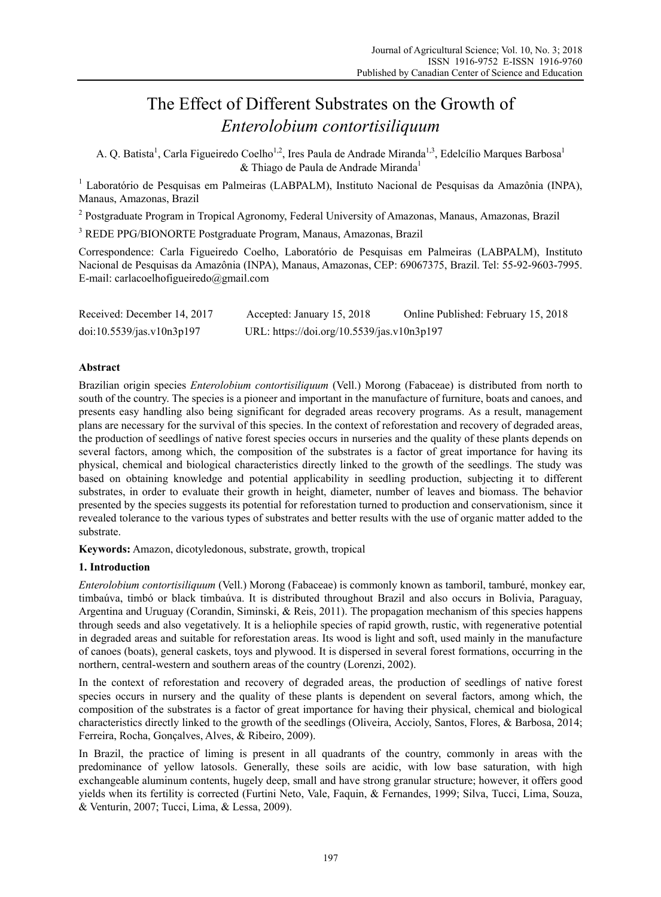# The Effect of Different Substrates on the Growth of *Enterolobium contortisiliquum*

A. Q. Batista<sup>1</sup>, Carla Figueiredo Coelho<sup>1,2</sup>, Ires Paula de Andrade Miranda<sup>1,3</sup>, Edelcílio Marques Barbosa<sup>1</sup>  $&$  Thiago de Paula de Andrade Miranda<sup>1</sup>

<sup>1</sup> Laboratório de Pesquisas em Palmeiras (LABPALM), Instituto Nacional de Pesquisas da Amazônia (INPA), Manaus, Amazonas, Brazil

<sup>2</sup> Postgraduate Program in Tropical Agronomy, Federal University of Amazonas, Manaus, Amazonas, Brazil

3 REDE PPG/BIONORTE Postgraduate Program, Manaus, Amazonas, Brazil

Correspondence: Carla Figueiredo Coelho, Laboratório de Pesquisas em Palmeiras (LABPALM), Instituto Nacional de Pesquisas da Amazônia (INPA), Manaus, Amazonas, CEP: 69067375, Brazil. Tel: 55-92-9603-7995. E-mail: carlacoelhofigueiredo@gmail.com

| Received: December 14, 2017 | Accepted: January 15, 2018                 | Online Published: February 15, 2018 |
|-----------------------------|--------------------------------------------|-------------------------------------|
| doi:10.5539/jas.v10n3p197   | URL: https://doi.org/10.5539/jas.v10n3p197 |                                     |

# **Abstract**

Brazilian origin species *Enterolobium contortisiliquum* (Vell.) Morong (Fabaceae) is distributed from north to south of the country. The species is a pioneer and important in the manufacture of furniture, boats and canoes, and presents easy handling also being significant for degraded areas recovery programs. As a result, management plans are necessary for the survival of this species. In the context of reforestation and recovery of degraded areas, the production of seedlings of native forest species occurs in nurseries and the quality of these plants depends on several factors, among which, the composition of the substrates is a factor of great importance for having its physical, chemical and biological characteristics directly linked to the growth of the seedlings. The study was based on obtaining knowledge and potential applicability in seedling production, subjecting it to different substrates, in order to evaluate their growth in height, diameter, number of leaves and biomass. The behavior presented by the species suggests its potential for reforestation turned to production and conservationism, since it revealed tolerance to the various types of substrates and better results with the use of organic matter added to the substrate.

**Keywords:** Amazon, dicotyledonous, substrate, growth, tropical

# **1. Introduction**

*Enterolobium contortisiliquum* (Vell.) Morong (Fabaceae) is commonly known as tamboril, tamburé, monkey ear, timbaúva, timbó or black timbaúva. It is distributed throughout Brazil and also occurs in Bolivia, Paraguay, Argentina and Uruguay (Corandin, Siminski, & Reis, 2011). The propagation mechanism of this species happens through seeds and also vegetatively. It is a heliophile species of rapid growth, rustic, with regenerative potential in degraded areas and suitable for reforestation areas. Its wood is light and soft, used mainly in the manufacture of canoes (boats), general caskets, toys and plywood. It is dispersed in several forest formations, occurring in the northern, central-western and southern areas of the country (Lorenzi, 2002).

In the context of reforestation and recovery of degraded areas, the production of seedlings of native forest species occurs in nursery and the quality of these plants is dependent on several factors, among which, the composition of the substrates is a factor of great importance for having their physical, chemical and biological characteristics directly linked to the growth of the seedlings (Oliveira, Accioly, Santos, Flores, & Barbosa, 2014; Ferreira, Rocha, Gonçalves, Alves, & Ribeiro, 2009).

In Brazil, the practice of liming is present in all quadrants of the country, commonly in areas with the predominance of yellow latosols. Generally, these soils are acidic, with low base saturation, with high exchangeable aluminum contents, hugely deep, small and have strong granular structure; however, it offers good yields when its fertility is corrected (Furtini Neto, Vale, Faquin, & Fernandes, 1999; Silva, Tucci, Lima, Souza, & Venturin, 2007; Tucci, Lima, & Lessa, 2009).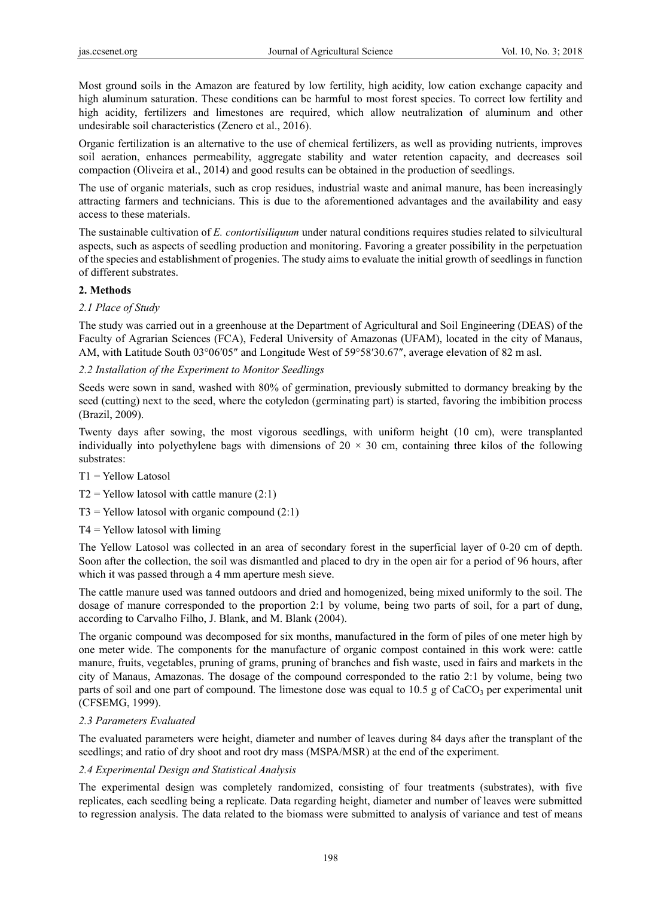Most ground soils in the Amazon are featured by low fertility, high acidity, low cation exchange capacity and high aluminum saturation. These conditions can be harmful to most forest species. To correct low fertility and high acidity, fertilizers and limestones are required, which allow neutralization of aluminum and other undesirable soil characteristics (Zenero et al., 2016).

Organic fertilization is an alternative to the use of chemical fertilizers, as well as providing nutrients, improves soil aeration, enhances permeability, aggregate stability and water retention capacity, and decreases soil compaction (Oliveira et al., 2014) and good results can be obtained in the production of seedlings.

The use of organic materials, such as crop residues, industrial waste and animal manure, has been increasingly attracting farmers and technicians. This is due to the aforementioned advantages and the availability and easy access to these materials.

The sustainable cultivation of *E. contortisiliquum* under natural conditions requires studies related to silvicultural aspects, such as aspects of seedling production and monitoring. Favoring a greater possibility in the perpetuation of the species and establishment of progenies. The study aims to evaluate the initial growth of seedlings in function of different substrates.

## **2. Methods**

## *2.1 Place of Study*

The study was carried out in a greenhouse at the Department of Agricultural and Soil Engineering (DEAS) of the Faculty of Agrarian Sciences (FCA), Federal University of Amazonas (UFAM), located in the city of Manaus, AM, with Latitude South 03°06′05″ and Longitude West of 59°58′30.67″, average elevation of 82 m asl.

## *2.2 Installation of the Experiment to Monitor Seedlings*

Seeds were sown in sand, washed with 80% of germination, previously submitted to dormancy breaking by the seed (cutting) next to the seed, where the cotyledon (germinating part) is started, favoring the imbibition process (Brazil, 2009).

Twenty days after sowing, the most vigorous seedlings, with uniform height (10 cm), were transplanted individually into polyethylene bags with dimensions of  $20 \times 30$  cm, containing three kilos of the following substrates:

T1 = Yellow Latosol

- $T2$  = Yellow latosol with cattle manure (2:1)
- $T3$  = Yellow latosol with organic compound (2:1)
- $T4 =$  Yellow latosol with liming

The Yellow Latosol was collected in an area of secondary forest in the superficial layer of 0-20 cm of depth. Soon after the collection, the soil was dismantled and placed to dry in the open air for a period of 96 hours, after which it was passed through a 4 mm aperture mesh sieve.

The cattle manure used was tanned outdoors and dried and homogenized, being mixed uniformly to the soil. The dosage of manure corresponded to the proportion 2:1 by volume, being two parts of soil, for a part of dung, according to Carvalho Filho, J. Blank, and M. Blank (2004).

The organic compound was decomposed for six months, manufactured in the form of piles of one meter high by one meter wide. The components for the manufacture of organic compost contained in this work were: cattle manure, fruits, vegetables, pruning of grams, pruning of branches and fish waste, used in fairs and markets in the city of Manaus, Amazonas. The dosage of the compound corresponded to the ratio 2:1 by volume, being two parts of soil and one part of compound. The limestone dose was equal to 10.5 g of CaCO<sub>3</sub> per experimental unit (CFSEMG, 1999).

## *2.3 Parameters Evaluated*

The evaluated parameters were height, diameter and number of leaves during 84 days after the transplant of the seedlings; and ratio of dry shoot and root dry mass (MSPA/MSR) at the end of the experiment.

## *2.4 Experimental Design and Statistical Analysis*

The experimental design was completely randomized, consisting of four treatments (substrates), with five replicates, each seedling being a replicate. Data regarding height, diameter and number of leaves were submitted to regression analysis. The data related to the biomass were submitted to analysis of variance and test of means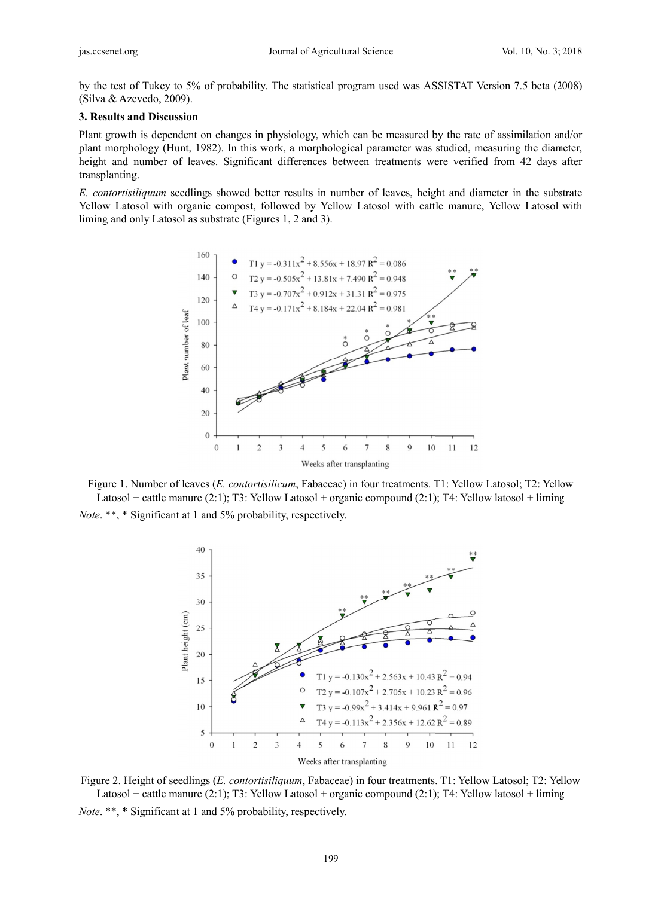by the test of Tukey to 5% of probability. The statistical program used was ASSISTAT Version 7.5 beta (2008) (Silva & Azevedo, 2009).

#### 3. Results and Discussion

Plant growth is dependent on changes in physiology, which can be measured by the rate of assimilation and/or plant morphology (Hunt, 1982). In this work, a morphological parameter was studied, measuring the diameter, height and number of leaves. Significant differences between treatments were verified from 42 days after transplanting.

E. contortisiliquum seedlings showed better results in number of leaves, height and diameter in the substrate Yellow Latosol with organic compost, followed by Yellow Latosol with cattle manure, Yellow Latosol with liming and only Latosol as substrate (Figures 1, 2 and 3).



Figure 1. Number of leaves (*E. contortisilicum*, Fabaceae) in four treatments. T1: Yellow Latosol: T2: Yellow Latosol + cattle manure (2:1); T3: Yellow Latosol + organic compound (2:1); T4: Yellow latosol + liming Note. \*\*, \* Significant at 1 and 5% probability, respectively.



Figure 2. Height of seedlings (E. contortisiliquum, Fabaceae) in four treatments. T1: Yellow Latosol; T2: Yellow Latosol + cattle manure (2:1); T3: Yellow Latosol + organic compound (2:1); T4: Yellow latosol + liming *Note.* \*\*, \* Significant at 1 and 5% probability, respectively.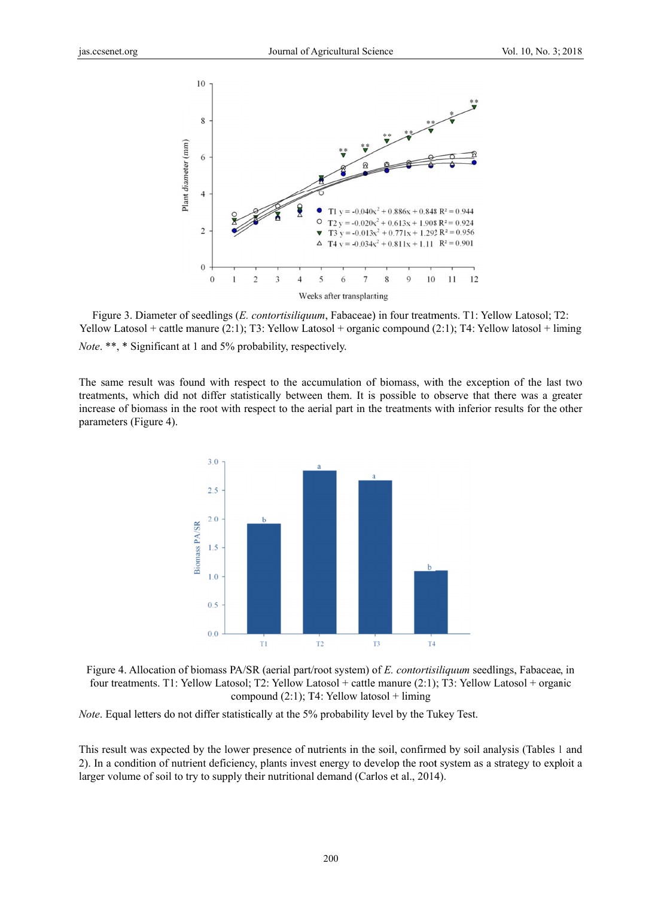

Figure 3. Diameter of seedlings (E. contortisiliquum, Fabaceae) in four treatments. T1: Yellow Latosol; T2: Yellow Latosol + cattle manure  $(2:1)$ ; T3: Yellow Latosol + organic compound  $(2:1)$ ; T4: Yellow latosol + liming *Note.* \*\*, \* Significant at 1 and 5% probability, respectively.

The same result was found with respect to the accumulation of biomass, with the exception of the last two treatments, which did not differ statistically between them. It is possible to observe that there was a greater increase of biomass in the root with respect to the aerial part in the treatments with inferior results for the other parameters (Figure 4).



Figure 4. Allocation of biomass PA/SR (aerial part/root system) of E. contortisiliquum seedlings, Fabaceae, in four treatments. T1: Yellow Latosol; T2: Yellow Latosol + cattle manure (2:1); T3: Yellow Latosol + organic compound  $(2:1)$ ; T4: Yellow latosol + liming

*Note.* Equal letters do not differ statistically at the 5% probability level by the Tukey Test.

This result was expected by the lower presence of nutrients in the soil, confirmed by soil analysis (Tables 1 and 2). In a condition of nutrient deficiency, plants invest energy to develop the root system as a strategy to exploit a larger volume of soil to try to supply their nutritional demand (Carlos et al., 2014).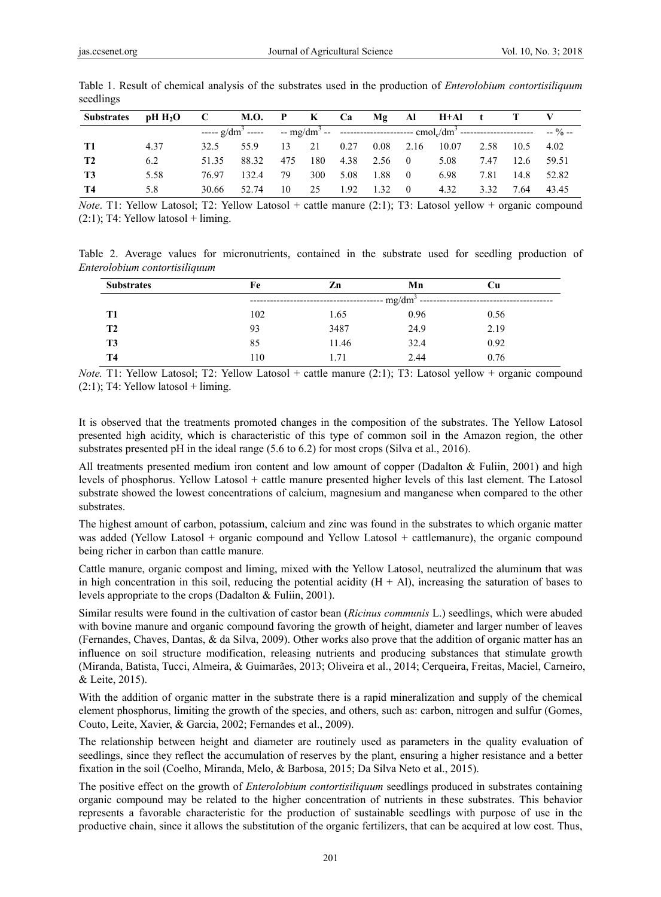| <b>Substrates</b> | pH H <sub>2</sub> O | $\mathbf{C}$ | M.O.  | $\mathbf{P}$ | $\mathbf{K}$ | Ca   |      | $Mg$ Al        | $H+AI$ t |      |      |          |
|-------------------|---------------------|--------------|-------|--------------|--------------|------|------|----------------|----------|------|------|----------|
|                   |                     |              |       |              |              |      |      |                |          |      |      | $-9/6 -$ |
| T1                | 4.37                | 32.5         | 55 Q  | 13           | 21           | 0.27 | 0.08 | 2.16           | 10.07    | 2.58 | 10.5 | 4.02     |
| <b>T2</b>         | 6.2                 | 51.35        | 88.32 | 475          | 180          | 4.38 | 2.56 | $\overline{0}$ | 5.08     | 7.47 | 12.6 | 59.51    |
| <b>T3</b>         | 5.58                | 76.97        | 132.4 | 79           | 300          | 5.08 | 1.88 | $\theta$       | 6.98     | 7.81 | 14.8 | 52.82    |
| T4                | 5.8                 | 30.66        | 52.74 | 10           | 25           | 1.92 | 1.32 | $\bf{0}$       | 4.32     | 3.32 | 7.64 | 43.45    |

Table 1. Result of chemical analysis of the substrates used in the production of *Enterolobium contortisiliquum* seedlings

*Note*. T1: Yellow Latosol; T2: Yellow Latosol + cattle manure (2:1); T3: Latosol yellow + organic compound  $(2:1)$ ; T4: Yellow latosol + liming.

Table 2. Average values for micronutrients, contained in the substrate used for seedling production of *Enterolobium contortisiliquum*

| <b>Substrates</b> | Fe                    | Zn    | Mn   | Сu   |  |  |  |
|-------------------|-----------------------|-------|------|------|--|--|--|
|                   | -- mg/dm <sup>3</sup> |       |      |      |  |  |  |
| T1                | 102                   | 1.65  | 0.96 | 0.56 |  |  |  |
| T <sub>2</sub>    | 93                    | 3487  | 24.9 | 2.19 |  |  |  |
| T <sub>3</sub>    | 85                    | 11.46 | 32.4 | 0.92 |  |  |  |
| <b>T4</b>         | 110                   | 1.71  | 2.44 | 0.76 |  |  |  |

*Note.* T1: Yellow Latosol; T2: Yellow Latosol + cattle manure (2:1); T3: Latosol yellow + organic compound  $(2:1)$ ; T4: Yellow latosol + liming.

It is observed that the treatments promoted changes in the composition of the substrates. The Yellow Latosol presented high acidity, which is characteristic of this type of common soil in the Amazon region, the other substrates presented pH in the ideal range (5.6 to 6.2) for most crops (Silva et al., 2016).

All treatments presented medium iron content and low amount of copper (Dadalton & Fuliin, 2001) and high levels of phosphorus. Yellow Latosol + cattle manure presented higher levels of this last element. The Latosol substrate showed the lowest concentrations of calcium, magnesium and manganese when compared to the other substrates.

The highest amount of carbon, potassium, calcium and zinc was found in the substrates to which organic matter was added (Yellow Latosol + organic compound and Yellow Latosol + cattlemanure), the organic compound being richer in carbon than cattle manure.

Cattle manure, organic compost and liming, mixed with the Yellow Latosol, neutralized the aluminum that was in high concentration in this soil, reducing the potential acidity  $(H + AI)$ , increasing the saturation of bases to levels appropriate to the crops (Dadalton & Fuliin, 2001).

Similar results were found in the cultivation of castor bean (*Ricinus communis* L.) seedlings, which were abuded with bovine manure and organic compound favoring the growth of height, diameter and larger number of leaves (Fernandes, Chaves, Dantas, & da Silva, 2009). Other works also prove that the addition of organic matter has an influence on soil structure modification, releasing nutrients and producing substances that stimulate growth (Miranda, Batista, Tucci, Almeira, & Guimarães, 2013; Oliveira et al., 2014; Cerqueira, Freitas, Maciel, Carneiro, & Leite, 2015).

With the addition of organic matter in the substrate there is a rapid mineralization and supply of the chemical element phosphorus, limiting the growth of the species, and others, such as: carbon, nitrogen and sulfur (Gomes, Couto, Leite, Xavier, & Garcia, 2002; Fernandes et al., 2009).

The relationship between height and diameter are routinely used as parameters in the quality evaluation of seedlings, since they reflect the accumulation of reserves by the plant, ensuring a higher resistance and a better fixation in the soil (Coelho, Miranda, Melo, & Barbosa, 2015; Da Silva Neto et al., 2015).

The positive effect on the growth of *Enterolobium contortisiliquum* seedlings produced in substrates containing organic compound may be related to the higher concentration of nutrients in these substrates. This behavior represents a favorable characteristic for the production of sustainable seedlings with purpose of use in the productive chain, since it allows the substitution of the organic fertilizers, that can be acquired at low cost. Thus,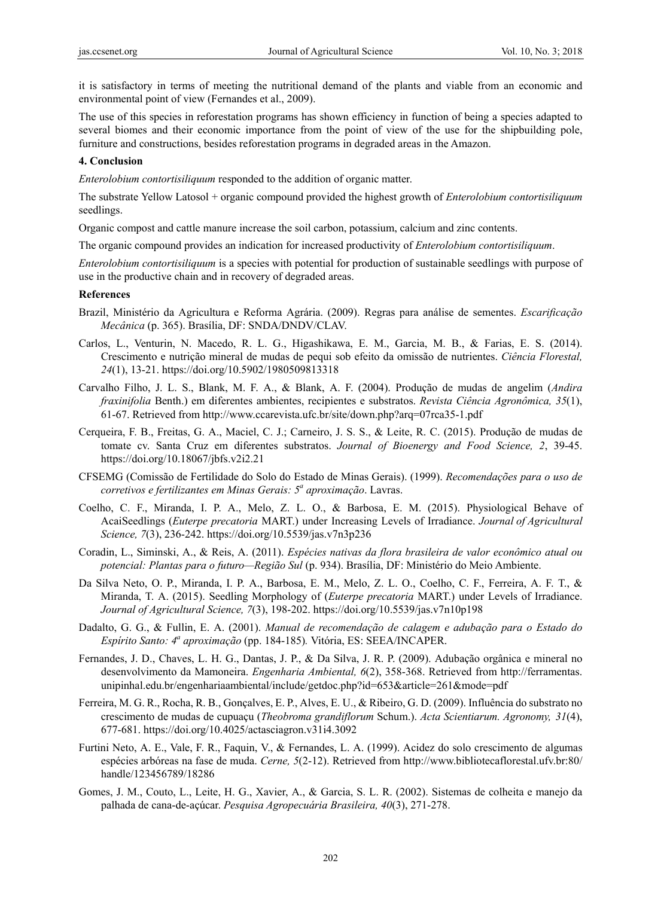it is satisfactory in terms of meeting the nutritional demand of the plants and viable from an economic and environmental point of view (Fernandes et al., 2009).

The use of this species in reforestation programs has shown efficiency in function of being a species adapted to several biomes and their economic importance from the point of view of the use for the shipbuilding pole, furniture and constructions, besides reforestation programs in degraded areas in the Amazon.

#### **4. Conclusion**

*Enterolobium contortisiliquum* responded to the addition of organic matter.

The substrate Yellow Latosol + organic compound provided the highest growth of *Enterolobium contortisiliquum*  seedlings.

Organic compost and cattle manure increase the soil carbon, potassium, calcium and zinc contents.

The organic compound provides an indication for increased productivity of *Enterolobium contortisiliquum*.

*Enterolobium contortisiliquum* is a species with potential for production of sustainable seedlings with purpose of use in the productive chain and in recovery of degraded areas.

#### **References**

- Brazil, Ministério da Agricultura e Reforma Agrária. (2009). Regras para análise de sementes. *Escarificação Mecânica* (p. 365). Brasília, DF: SNDA/DNDV/CLAV.
- Carlos, L., Venturin, N. Macedo, R. L. G., Higashikawa, E. M., Garcia, M. B., & Farias, E. S. (2014). Crescimento e nutrição mineral de mudas de pequi sob efeito da omissão de nutrientes. *Ciência Florestal, 24*(1), 13-21. https://doi.org/10.5902/1980509813318
- Carvalho Filho, J. L. S., Blank, M. F. A., & Blank, A. F. (2004). Produção de mudas de angelim (*Andira fraxinifolia* Benth.) em diferentes ambientes, recipientes e substratos. *Revista Ciência Agronômica, 35*(1), 61-67. Retrieved from http://www.ccarevista.ufc.br/site/down.php?arq=07rca35-1.pdf
- Cerqueira, F. B., Freitas, G. A., Maciel, C. J.; Carneiro, J. S. S., & Leite, R. C. (2015). Produção de mudas de tomate cv. Santa Cruz em diferentes substratos. *Journal of Bioenergy and Food Science, 2*, 39-45. https://doi.org/10.18067/jbfs.v2i2.21
- CFSEMG (Comissão de Fertilidade do Solo do Estado de Minas Gerais). (1999). *Recomendações para o uso de corretivos e fertilizantes em Minas Gerais: 5<sup>a</sup> aproximação*. Lavras.
- Coelho, C. F., Miranda, I. P. A., Melo, Z. L. O., & Barbosa, E. M. (2015). Physiological Behave of AcaiSeedlings (*Euterpe precatoria* MART.) under Increasing Levels of Irradiance. *Journal of Agricultural Science, 7*(3), 236-242. https://doi.org/10.5539/jas.v7n3p236
- Coradin, L., Siminski, A., & Reis, A. (2011). *Espécies nativas da flora brasileira de valor econômico atual ou potencial: Plantas para o futuro—Região Sul* (p. 934). Brasília, DF: Ministério do Meio Ambiente.
- Da Silva Neto, O. P., Miranda, I. P. A., Barbosa, E. M., Melo, Z. L. O., Coelho, C. F., Ferreira, A. F. T., & Miranda, T. A. (2015). Seedling Morphology of (*Euterpe precatoria* MART.) under Levels of Irradiance. *Journal of Agricultural Science, 7*(3), 198-202. https://doi.org/10.5539/jas.v7n10p198
- Dadalto, G. G., & Fullin, E. A. (2001). *Manual de recomendação de calagem e adubação para o Estado do Espírito Santo: 4<sup>a</sup> aproximação* (pp. 184-185)*.* Vitória, ES: SEEA/INCAPER.
- Fernandes, J. D., Chaves, L. H. G., Dantas, J. P., & Da Silva, J. R. P. (2009). Adubação orgânica e mineral no desenvolvimento da Mamoneira. *Engenharia Ambiental, 6*(2), 358-368. Retrieved from http://ferramentas. unipinhal.edu.br/engenhariaambiental/include/getdoc.php?id=653&article=261&mode=pdf
- Ferreira, M. G. R., Rocha, R. B., Gonçalves, E. P., Alves, E. U., & Ribeiro, G. D. (2009). Influência do substrato no crescimento de mudas de cupuaçu (*Theobroma grandiflorum* Schum.). *Acta Scientiarum. Agronomy, 31*(4), 677-681. https://doi.org/10.4025/actasciagron.v31i4.3092
- Furtini Neto, A. E., Vale, F. R., Faquin, V., & Fernandes, L. A. (1999). Acidez do solo crescimento de algumas espécies arbóreas na fase de muda. *Cerne, 5*(2-12). Retrieved from http://www.bibliotecaflorestal.ufv.br:80/ handle/123456789/18286
- Gomes, J. M., Couto, L., Leite, H. G., Xavier, A., & Garcia, S. L. R. (2002). Sistemas de colheita e manejo da palhada de cana-de-açúcar. *Pesquisa Agropecuária Brasileira, 40*(3), 271-278.